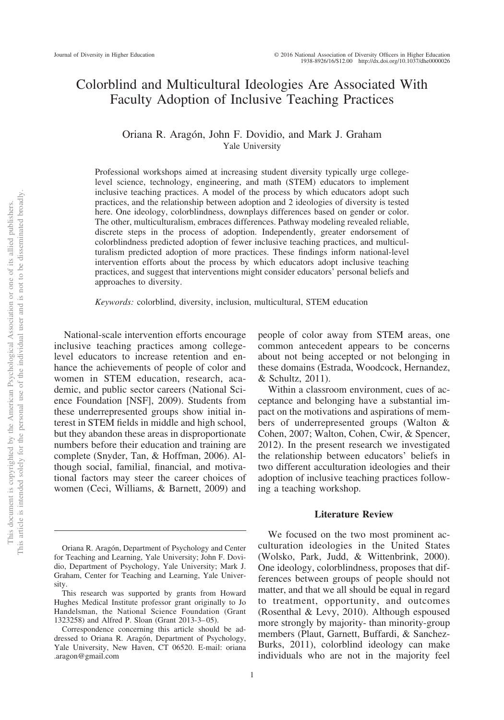# Colorblind and Multicultural Ideologies Are Associated With Faculty Adoption of Inclusive Teaching Practices

# Oriana R. Aragón, John F. Dovidio, and Mark J. Graham Yale University

Professional workshops aimed at increasing student diversity typically urge collegelevel science, technology, engineering, and math (STEM) educators to implement inclusive teaching practices. A model of the process by which educators adopt such practices, and the relationship between adoption and 2 ideologies of diversity is tested here. One ideology, colorblindness, downplays differences based on gender or color. The other, multiculturalism, embraces differences. Pathway modeling revealed reliable, discrete steps in the process of adoption. Independently, greater endorsement of colorblindness predicted adoption of fewer inclusive teaching practices, and multiculturalism predicted adoption of more practices. These findings inform national-level intervention efforts about the process by which educators adopt inclusive teaching practices, and suggest that interventions might consider educators' personal beliefs and approaches to diversity.

*Keywords:* colorblind, diversity, inclusion, multicultural, STEM education

National-scale intervention efforts encourage inclusive teaching practices among collegelevel educators to increase retention and enhance the achievements of people of color and women in STEM education, research, academic, and public sector careers (National Science Foundation [NSF], 2009). Students from these underrepresented groups show initial interest in STEM fields in middle and high school, but they abandon these areas in disproportionate numbers before their education and training are complete (Snyder, Tan, & Hoffman, 2006). Although social, familial, financial, and motivational factors may steer the career choices of women (Ceci, Williams, & Barnett, 2009) and people of color away from STEM areas, one common antecedent appears to be concerns about not being accepted or not belonging in these domains (Estrada, Woodcock, Hernandez, & Schultz, 2011).

Within a classroom environment, cues of acceptance and belonging have a substantial impact on the motivations and aspirations of members of underrepresented groups (Walton & Cohen, 2007; Walton, Cohen, Cwir, & Spencer, 2012). In the present research we investigated the relationship between educators' beliefs in two different acculturation ideologies and their adoption of inclusive teaching practices following a teaching workshop.

## **Literature Review**

We focused on the two most prominent acculturation ideologies in the United States (Wolsko, Park, Judd, & Wittenbrink, 2000). One ideology, colorblindness, proposes that differences between groups of people should not matter, and that we all should be equal in regard to treatment, opportunity, and outcomes (Rosenthal & Levy, 2010). Although espoused more strongly by majority- than minority-group members (Plaut, Garnett, Buffardi, & Sanchez-Burks, 2011), colorblind ideology can make individuals who are not in the majority feel

Oriana R. Aragón, Department of Psychology and Center for Teaching and Learning, Yale University; John F. Dovidio, Department of Psychology, Yale University; Mark J. Graham, Center for Teaching and Learning, Yale University.

This research was supported by grants from Howard Hughes Medical Institute professor grant originally to Jo Handelsman, the National Science Foundation (Grant 1323258) and Alfred P. Sloan (Grant 2013-3–05).

Correspondence concerning this article should be addressed to Oriana R. Aragón, Department of Psychology, Yale University, New Haven, CT 06520. E-mail: oriana .aragon@gmail.com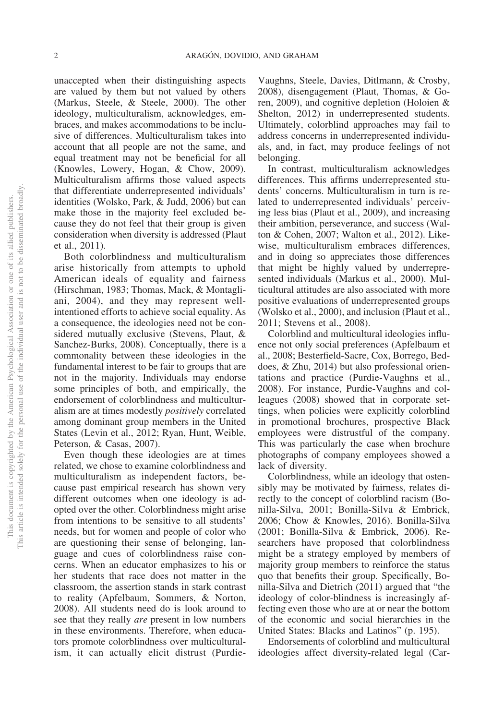unaccepted when their distinguishing aspects are valued by them but not valued by others (Markus, Steele, & Steele, 2000). The other ideology, multiculturalism, acknowledges, embraces, and makes accommodations to be inclusive of differences. Multiculturalism takes into account that all people are not the same, and equal treatment may not be beneficial for all (Knowles, Lowery, Hogan, & Chow, 2009). Multiculturalism affirms those valued aspects that differentiate underrepresented individuals' identities (Wolsko, Park, & Judd, 2006) but can make those in the majority feel excluded because they do not feel that their group is given consideration when diversity is addressed (Plaut et al., 2011).

Both colorblindness and multiculturalism arise historically from attempts to uphold American ideals of equality and fairness (Hirschman, 1983; Thomas, Mack, & Montagliani, 2004), and they may represent wellintentioned efforts to achieve social equality. As a consequence, the ideologies need not be considered mutually exclusive (Stevens, Plaut, & Sanchez-Burks, 2008). Conceptually, there is a commonality between these ideologies in the fundamental interest to be fair to groups that are not in the majority. Individuals may endorse some principles of both, and empirically, the endorsement of colorblindness and multiculturalism are at times modestly *positively* correlated among dominant group members in the United States (Levin et al., 2012; Ryan, Hunt, Weible, Peterson, & Casas, 2007).

Even though these ideologies are at times related, we chose to examine colorblindness and multiculturalism as independent factors, because past empirical research has shown very different outcomes when one ideology is adopted over the other. Colorblindness might arise from intentions to be sensitive to all students' needs, but for women and people of color who are questioning their sense of belonging, language and cues of colorblindness raise concerns. When an educator emphasizes to his or her students that race does not matter in the classroom, the assertion stands in stark contrast to reality (Apfelbaum, Sommers, & Norton, 2008). All students need do is look around to see that they really *are* present in low numbers in these environments. Therefore, when educators promote colorblindness over multiculturalism, it can actually elicit distrust (Purdie-

Vaughns, Steele, Davies, Ditlmann, & Crosby, 2008), disengagement (Plaut, Thomas, & Goren, 2009), and cognitive depletion (Holoien & Shelton, 2012) in underrepresented students. Ultimately, colorblind approaches may fail to address concerns in underrepresented individuals, and, in fact, may produce feelings of not belonging.

In contrast, multiculturalism acknowledges differences. This affirms underrepresented students' concerns. Multiculturalism in turn is related to underrepresented individuals' perceiving less bias (Plaut et al., 2009), and increasing their ambition, perseverance, and success (Walton & Cohen, 2007; Walton et al., 2012). Likewise, multiculturalism embraces differences, and in doing so appreciates those differences that might be highly valued by underrepresented individuals (Markus et al., 2000). Multicultural attitudes are also associated with more positive evaluations of underrepresented groups (Wolsko et al., 2000), and inclusion (Plaut et al., 2011; Stevens et al., 2008).

Colorblind and multicultural ideologies influence not only social preferences (Apfelbaum et al., 2008; Besterfield-Sacre, Cox, Borrego, Beddoes, & Zhu, 2014) but also professional orientations and practice (Purdie-Vaughns et al., 2008). For instance, Purdie-Vaughns and colleagues (2008) showed that in corporate settings, when policies were explicitly colorblind in promotional brochures, prospective Black employees were distrustful of the company. This was particularly the case when brochure photographs of company employees showed a lack of diversity.

Colorblindness, while an ideology that ostensibly may be motivated by fairness, relates directly to the concept of colorblind racism (Bonilla-Silva, 2001; Bonilla-Silva & Embrick, 2006; Chow & Knowles, 2016). Bonilla-Silva (2001; Bonilla-Silva & Embrick, 2006). Researchers have proposed that colorblindness might be a strategy employed by members of majority group members to reinforce the status quo that benefits their group. Specifically, Bonilla-Silva and Dietrich (2011) argued that "the ideology of color-blindness is increasingly affecting even those who are at or near the bottom of the economic and social hierarchies in the United States: Blacks and Latinos" (p. 195).

Endorsements of colorblind and multicultural ideologies affect diversity-related legal (Car-

This document is copyrighted by the American Psychological Association or one of its allied publishers.

This document is copyrighted by the American Psychological Association or one of its allied publishers.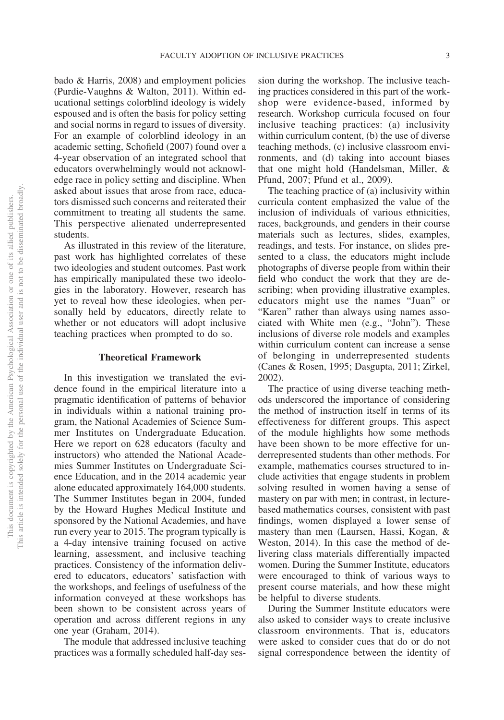bado & Harris, 2008) and employment policies (Purdie-Vaughns & Walton, 2011). Within educational settings colorblind ideology is widely espoused and is often the basis for policy setting and social norms in regard to issues of diversity. For an example of colorblind ideology in an academic setting, Schofield (2007) found over a 4-year observation of an integrated school that educators overwhelmingly would not acknowledge race in policy setting and discipline. When asked about issues that arose from race, educators dismissed such concerns and reiterated their commitment to treating all students the same. This perspective alienated underrepresented students.

As illustrated in this review of the literature, past work has highlighted correlates of these two ideologies and student outcomes. Past work has empirically manipulated these two ideologies in the laboratory. However, research has yet to reveal how these ideologies, when personally held by educators, directly relate to whether or not educators will adopt inclusive teaching practices when prompted to do so.

#### **Theoretical Framework**

In this investigation we translated the evidence found in the empirical literature into a pragmatic identification of patterns of behavior in individuals within a national training program, the National Academies of Science Summer Institutes on Undergraduate Education. Here we report on 628 educators (faculty and instructors) who attended the National Academies Summer Institutes on Undergraduate Science Education, and in the 2014 academic year alone educated approximately 164,000 students. The Summer Institutes began in 2004, funded by the Howard Hughes Medical Institute and sponsored by the National Academies, and have run every year to 2015. The program typically is a 4-day intensive training focused on active learning, assessment, and inclusive teaching practices. Consistency of the information delivered to educators, educators' satisfaction with the workshops, and feelings of usefulness of the information conveyed at these workshops has been shown to be consistent across years of operation and across different regions in any one year (Graham, 2014).

The module that addressed inclusive teaching practices was a formally scheduled half-day ses-

sion during the workshop. The inclusive teaching practices considered in this part of the workshop were evidence-based, informed by research. Workshop curricula focused on four inclusive teaching practices: (a) inclusivity within curriculum content, (b) the use of diverse teaching methods, (c) inclusive classroom environments, and (d) taking into account biases that one might hold (Handelsman, Miller, & Pfund, 2007; Pfund et al., 2009).

The teaching practice of (a) inclusivity within curricula content emphasized the value of the inclusion of individuals of various ethnicities, races, backgrounds, and genders in their course materials such as lectures, slides, examples, readings, and tests. For instance, on slides presented to a class, the educators might include photographs of diverse people from within their field who conduct the work that they are describing; when providing illustrative examples, educators might use the names "Juan" or "Karen" rather than always using names associated with White men (e.g., "John"). These inclusions of diverse role models and examples within curriculum content can increase a sense of belonging in underrepresented students (Canes & Rosen, 1995; Dasgupta, 2011; Zirkel, 2002).

The practice of using diverse teaching methods underscored the importance of considering the method of instruction itself in terms of its effectiveness for different groups. This aspect of the module highlights how some methods have been shown to be more effective for underrepresented students than other methods. For example, mathematics courses structured to include activities that engage students in problem solving resulted in women having a sense of mastery on par with men; in contrast, in lecturebased mathematics courses, consistent with past findings, women displayed a lower sense of mastery than men (Laursen, Hassi, Kogan, & Weston, 2014). In this case the method of delivering class materials differentially impacted women. During the Summer Institute, educators were encouraged to think of various ways to present course materials, and how these might be helpful to diverse students.

During the Summer Institute educators were also asked to consider ways to create inclusive classroom environments. That is, educators were asked to consider cues that do or do not signal correspondence between the identity of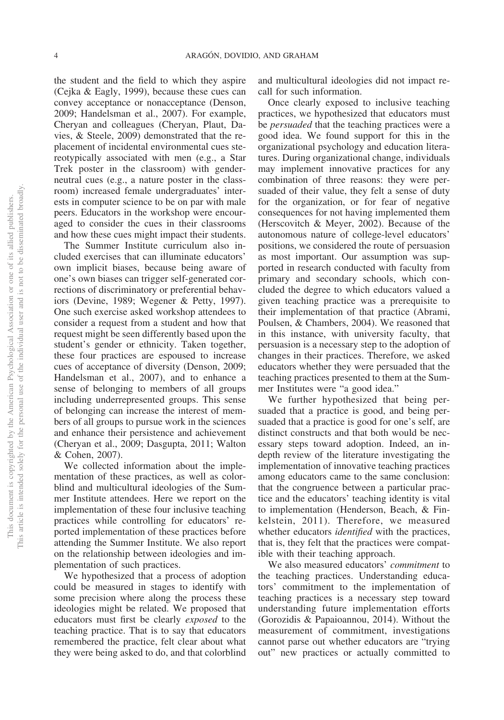the student and the field to which they aspire (Cejka & Eagly, 1999), because these cues can convey acceptance or nonacceptance (Denson, 2009; Handelsman et al., 2007). For example, Cheryan and colleagues (Cheryan, Plaut, Davies, & Steele, 2009) demonstrated that the replacement of incidental environmental cues stereotypically associated with men (e.g., a Star Trek poster in the classroom) with genderneutral cues (e.g., a nature poster in the classroom) increased female undergraduates' interests in computer science to be on par with male peers. Educators in the workshop were encouraged to consider the cues in their classrooms and how these cues might impact their students.

The Summer Institute curriculum also included exercises that can illuminate educators' own implicit biases, because being aware of one's own biases can trigger self-generated corrections of discriminatory or preferential behaviors (Devine, 1989; Wegener & Petty, 1997). One such exercise asked workshop attendees to consider a request from a student and how that request might be seen differently based upon the student's gender or ethnicity. Taken together, these four practices are espoused to increase cues of acceptance of diversity (Denson, 2009; Handelsman et al., 2007), and to enhance a sense of belonging to members of all groups including underrepresented groups. This sense of belonging can increase the interest of members of all groups to pursue work in the sciences and enhance their persistence and achievement (Cheryan et al., 2009; Dasgupta, 2011; Walton & Cohen, 2007).

We collected information about the implementation of these practices, as well as colorblind and multicultural ideologies of the Summer Institute attendees. Here we report on the implementation of these four inclusive teaching practices while controlling for educators' reported implementation of these practices before attending the Summer Institute. We also report on the relationship between ideologies and implementation of such practices.

We hypothesized that a process of adoption could be measured in stages to identify with some precision where along the process these ideologies might be related. We proposed that educators must first be clearly *exposed* to the teaching practice. That is to say that educators remembered the practice, felt clear about what they were being asked to do, and that colorblind

and multicultural ideologies did not impact recall for such information.

Once clearly exposed to inclusive teaching practices, we hypothesized that educators must be *persuaded* that the teaching practices were a good idea. We found support for this in the organizational psychology and education literatures. During organizational change, individuals may implement innovative practices for any combination of three reasons: they were persuaded of their value, they felt a sense of duty for the organization, or for fear of negative consequences for not having implemented them (Herscovitch & Meyer, 2002). Because of the autonomous nature of college-level educators' positions, we considered the route of persuasion as most important. Our assumption was supported in research conducted with faculty from primary and secondary schools, which concluded the degree to which educators valued a given teaching practice was a prerequisite to their implementation of that practice (Abrami, Poulsen, & Chambers, 2004). We reasoned that in this instance, with university faculty, that persuasion is a necessary step to the adoption of changes in their practices. Therefore, we asked educators whether they were persuaded that the teaching practices presented to them at the Summer Institutes were "a good idea."

We further hypothesized that being persuaded that a practice is good, and being persuaded that a practice is good for one's self, are distinct constructs and that both would be necessary steps toward adoption. Indeed, an indepth review of the literature investigating the implementation of innovative teaching practices among educators came to the same conclusion: that the congruence between a particular practice and the educators' teaching identity is vital to implementation (Henderson, Beach, & Finkelstein, 2011). Therefore, we measured whether educators *identified* with the practices, that is, they felt that the practices were compatible with their teaching approach.

We also measured educators' *commitment* to the teaching practices. Understanding educators' commitment to the implementation of teaching practices is a necessary step toward understanding future implementation efforts (Gorozidis & Papaioannou, 2014). Without the measurement of commitment, investigations cannot parse out whether educators are "trying out" new practices or actually committed to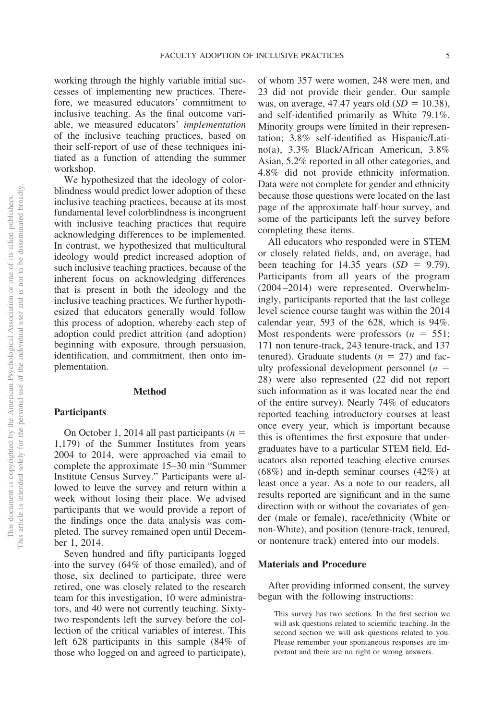working through the highly variable initial successes of implementing new practices. Therefore, we measured educators' commitment to inclusive teaching. As the final outcome variable, we measured educators' *implementation* of the inclusive teaching practices, based on their self-report of use of these techniques initiated as a function of attending the summer workshop.

We hypothesized that the ideology of colorblindness would predict lower adoption of these inclusive teaching practices, because at its most fundamental level colorblindness is incongruent with inclusive teaching practices that require acknowledging differences to be implemented. In contrast, we hypothesized that multicultural ideology would predict increased adoption of such inclusive teaching practices, because of the inherent focus on acknowledging differences that is present in both the ideology and the inclusive teaching practices. We further hypothesized that educators generally would follow this process of adoption, whereby each step of adoption could predict attrition (and adoption) beginning with exposure, through persuasion, identification, and commitment, then onto implementation.

## **Method**

## **Participants**

On October 1, 2014 all past participants  $(n =$ 1,179) of the Summer Institutes from years 2004 to 2014, were approached via email to complete the approximate 15–30 min "Summer Institute Census Survey." Participants were allowed to leave the survey and return within a week without losing their place. We advised participants that we would provide a report of the findings once the data analysis was completed. The survey remained open until December 1, 2014.

Seven hundred and fifty participants logged into the survey (64% of those emailed), and of those, six declined to participate, three were retired, one was closely related to the research team for this investigation, 10 were administrators, and 40 were not currently teaching. Sixtytwo respondents left the survey before the collection of the critical variables of interest. This left 628 participants in this sample (84% of those who logged on and agreed to participate),

of whom 357 were women, 248 were men, and 23 did not provide their gender. Our sample was, on average,  $47.47$  years old  $(SD = 10.38)$ , and self-identified primarily as White 79.1%. Minority groups were limited in their representation; 3.8% self-identified as Hispanic/Latino(a), 3.3% Black/African American, 3.8% Asian, 5.2% reported in all other categories, and 4.8% did not provide ethnicity information. Data were not complete for gender and ethnicity because those questions were located on the last page of the approximate half-hour survey, and some of the participants left the survey before completing these items.

All educators who responded were in STEM or closely related fields, and, on average, had been teaching for  $14.35$  years  $(SD = 9.79)$ . Participants from all years of the program (2004 –2014) were represented. Overwhelmingly, participants reported that the last college level science course taught was within the 2014 calendar year, 593 of the 628, which is 94%. Most respondents were professors  $(n = 551)$ ; 171 non tenure-track, 243 tenure-track, and 137 tenured). Graduate students  $(n = 27)$  and faculty professional development personnel  $(n =$ 28) were also represented (22 did not report such information as it was located near the end of the entire survey). Nearly 74% of educators reported teaching introductory courses at least once every year, which is important because this is oftentimes the first exposure that undergraduates have to a particular STEM field. Educators also reported teaching elective courses (68%) and in-depth seminar courses (42%) at least once a year. As a note to our readers, all results reported are significant and in the same direction with or without the covariates of gender (male or female), race/ethnicity (White or non-White), and position (tenure-track, tenured, or nontenure track) entered into our models.

### **Materials and Procedure**

After providing informed consent, the survey began with the following instructions:

This survey has two sections. In the first section we will ask questions related to scientific teaching. In the second section we will ask questions related to you. Please remember your spontaneous responses are important and there are no right or wrong answers.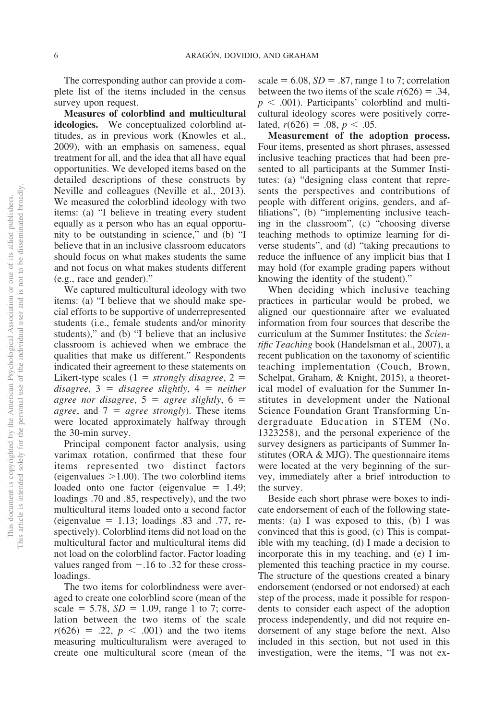The corresponding author can provide a complete list of the items included in the census survey upon request.

**Measures of colorblind and multicultural ideologies.** We conceptualized colorblind attitudes, as in previous work (Knowles et al., 2009), with an emphasis on sameness, equal treatment for all, and the idea that all have equal opportunities. We developed items based on the detailed descriptions of these constructs by Neville and colleagues (Neville et al., 2013). We measured the colorblind ideology with two items: (a) "I believe in treating every student equally as a person who has an equal opportunity to be outstanding in science," and (b) "I believe that in an inclusive classroom educators should focus on what makes students the same and not focus on what makes students different (e.g., race and gender)."

We captured multicultural ideology with two items: (a) "I believe that we should make special efforts to be supportive of underrepresented students (i.e., female students and/or minority students)," and (b) "I believe that an inclusive classroom is achieved when we embrace the qualities that make us different." Respondents indicated their agreement to these statements on Likert-type scales  $(1 = strongly disagree, 2 =$  $disagree, 3 = disagree slightly, 4 = neither$ *agree nor disagree,*  $5 =$  *agree slightly,*  $6 =$ *agree*, and  $7 = agree \, strongly$ . These items were located approximately halfway through the 30-min survey.

Principal component factor analysis, using varimax rotation, confirmed that these four items represented two distinct factors (eigenvalues  $>1.00$ ). The two colorblind items loaded onto one factor (eigenvalue  $= 1.49$ ; loadings .70 and .85, respectively), and the two multicultural items loaded onto a second factor (eigenvalue  $= 1.13$ ; loadings .83 and .77, respectively). Colorblind items did not load on the multicultural factor and multicultural items did not load on the colorblind factor. Factor loading values ranged from  $-.16$  to .32 for these crossloadings.

The two items for colorblindness were averaged to create one colorblind score (mean of the scale  $= 5.78$ ,  $SD = 1.09$ , range 1 to 7; correlation between the two items of the scale  $r(626) = .22, p < .001$  and the two items measuring multiculturalism were averaged to create one multicultural score (mean of the

scale  $= 6.08$ ,  $SD = .87$ , range 1 to 7; correlation between the two items of the scale  $r(626) = .34$ ,  $p < .001$ ). Participants' colorblind and multicultural ideology scores were positively correlated,  $r(626) = .08$ ,  $p < .05$ .

**Measurement of the adoption process.** Four items, presented as short phrases, assessed inclusive teaching practices that had been presented to all participants at the Summer Institutes: (a) "designing class content that represents the perspectives and contributions of people with different origins, genders, and affiliations", (b) "implementing inclusive teaching in the classroom", (c) "choosing diverse teaching methods to optimize learning for diverse students", and (d) "taking precautions to reduce the influence of any implicit bias that I may hold (for example grading papers without knowing the identity of the student)."

When deciding which inclusive teaching practices in particular would be probed, we aligned our questionnaire after we evaluated information from four sources that describe the curriculum at the Summer Institutes: the *Scientific Teaching* book (Handelsman et al., 2007), a recent publication on the taxonomy of scientific teaching implementation (Couch, Brown, Schelpat, Graham, & Knight, 2015), a theoretical model of evaluation for the Summer Institutes in development under the National Science Foundation Grant Transforming Undergraduate Education in STEM (No. 1323258), and the personal experience of the survey designers as participants of Summer Institutes (ORA & MJG). The questionnaire items were located at the very beginning of the survey, immediately after a brief introduction to the survey.

Beside each short phrase were boxes to indicate endorsement of each of the following statements: (a) I was exposed to this, (b) I was convinced that this is good, (c) This is compatible with my teaching, (d) I made a decision to incorporate this in my teaching, and (e) I implemented this teaching practice in my course. The structure of the questions created a binary endorsement (endorsed or not endorsed) at each step of the process, made it possible for respondents to consider each aspect of the adoption process independently, and did not require endorsement of any stage before the next. Also included in this section, but not used in this investigation, were the items, "I was not ex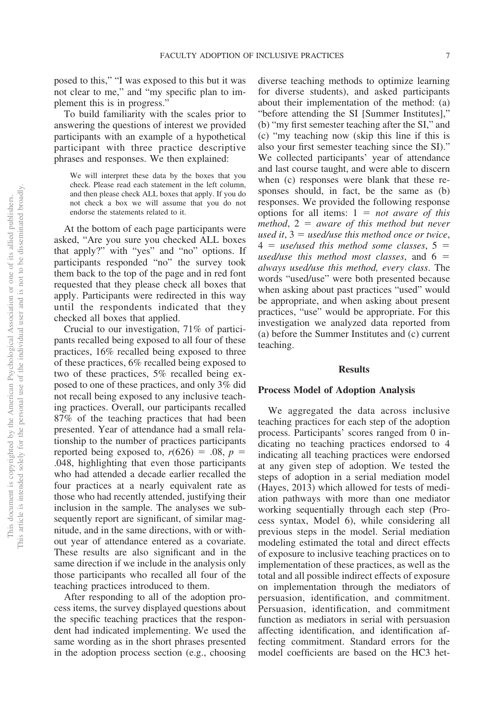posed to this," "I was exposed to this but it was not clear to me," and "my specific plan to implement this is in progress."

To build familiarity with the scales prior to answering the questions of interest we provided participants with an example of a hypothetical participant with three practice descriptive phrases and responses. We then explained:

We will interpret these data by the boxes that you check. Please read each statement in the left column, and then please check ALL boxes that apply. If you do not check a box we will assume that you do not endorse the statements related to it.

At the bottom of each page participants were asked, "Are you sure you checked ALL boxes that apply?" with "yes" and "no" options. If participants responded "no" the survey took them back to the top of the page and in red font requested that they please check all boxes that apply. Participants were redirected in this way until the respondents indicated that they checked all boxes that applied.

Crucial to our investigation, 71% of participants recalled being exposed to all four of these practices, 16% recalled being exposed to three of these practices, 6% recalled being exposed to two of these practices, 5% recalled being exposed to one of these practices, and only 3% did not recall being exposed to any inclusive teaching practices. Overall, our participants recalled 87% of the teaching practices that had been presented. Year of attendance had a small relationship to the number of practices participants reported being exposed to,  $r(626) = .08$ ,  $p =$ .048, highlighting that even those participants who had attended a decade earlier recalled the four practices at a nearly equivalent rate as those who had recently attended, justifying their inclusion in the sample. The analyses we subsequently report are significant, of similar magnitude, and in the same directions, with or without year of attendance entered as a covariate. These results are also significant and in the same direction if we include in the analysis only those participants who recalled all four of the teaching practices introduced to them.

After responding to all of the adoption process items, the survey displayed questions about the specific teaching practices that the respondent had indicated implementing. We used the same wording as in the short phrases presented in the adoption process section (e.g., choosing

diverse teaching methods to optimize learning for diverse students), and asked participants about their implementation of the method: (a) "before attending the SI [Summer Institutes]," (b) "my first semester teaching after the SI," and (c) "my teaching now (skip this line if this is also your first semester teaching since the SI)." We collected participants' year of attendance and last course taught, and were able to discern when (c) responses were blank that these responses should, in fact, be the same as (b) responses. We provided the following response options for all items:  $1 = not aware$  of this  $method, 2 = aware of this method but never$  $u$ sed it,  $3 = u$ sed/use this method once or twice,  $4 =$  *use/used this method some classes,*  $5 =$ *used/use this method most classes, and*  $6 =$ *always used/use this method, every class*. The words "used/use" were both presented because when asking about past practices "used" would be appropriate, and when asking about present practices, "use" would be appropriate. For this investigation we analyzed data reported from (a) before the Summer Institutes and (c) current teaching.

#### **Results**

#### **Process Model of Adoption Analysis**

We aggregated the data across inclusive teaching practices for each step of the adoption process. Participants' scores ranged from 0 indicating no teaching practices endorsed to 4 indicating all teaching practices were endorsed at any given step of adoption. We tested the steps of adoption in a serial mediation model (Hayes, 2013) which allowed for tests of mediation pathways with more than one mediator working sequentially through each step (Process syntax, Model 6), while considering all previous steps in the model. Serial mediation modeling estimated the total and direct effects of exposure to inclusive teaching practices on to implementation of these practices, as well as the total and all possible indirect effects of exposure on implementation through the mediators of persuasion, identification, and commitment. Persuasion, identification, and commitment function as mediators in serial with persuasion affecting identification, and identification affecting commitment. Standard errors for the model coefficients are based on the HC3 het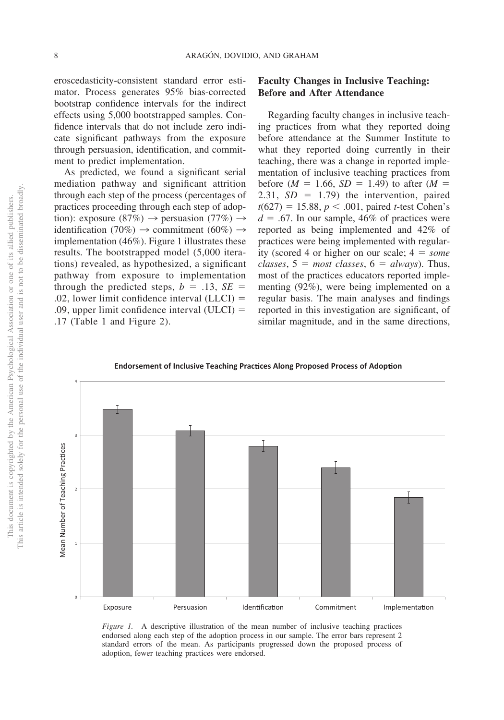eroscedasticity-consistent standard error estimator. Process generates 95% bias-corrected bootstrap confidence intervals for the indirect effects using 5,000 bootstrapped samples. Confidence intervals that do not include zero indicate significant pathways from the exposure through persuasion, identification, and commitment to predict implementation.

As predicted, we found a significant serial mediation pathway and significant attrition through each step of the process (percentages of practices proceeding through each step of adoption): exposure (87%)  $\rightarrow$  persuasion (77%)  $\rightarrow$ identification (70%)  $\rightarrow$  commitment (60%)  $\rightarrow$ implementation (46%). Figure 1 illustrates these results. The bootstrapped model (5,000 iterations) revealed, as hypothesized, a significant pathway from exposure to implementation through the predicted steps,  $b = .13$ ,  $SE =$ .02, lower limit confidence interval  $(LLCI)$  = .09, upper limit confidence interval  $(ULCI)$  = .17 (Table 1 and Figure 2).

# **Faculty Changes in Inclusive Teaching: Before and After Attendance**

Regarding faculty changes in inclusive teaching practices from what they reported doing before attendance at the Summer Institute to what they reported doing currently in their teaching, there was a change in reported implementation of inclusive teaching practices from before  $(M = 1.66, SD = 1.49)$  to after  $(M =$ 2.31,  $SD = 1.79$ ) the intervention, paired  $t(627) = 15.88, p < .001$ , paired *t*-test Cohen's  $d = .67$ . In our sample, 46% of practices were reported as being implemented and 42% of practices were being implemented with regularity (scored 4 or higher on our scale;  $4 = some$  $classes, 5 = most classes, 6 = always. Thus,$ most of the practices educators reported implementing (92%), were being implemented on a regular basis. The main analyses and findings reported in this investigation are significant, of similar magnitude, and in the same directions,

**Endorsement of Inclusive Teaching Prac ces Along Proposed Process of Adop on**



*Figure 1.* A descriptive illustration of the mean number of inclusive teaching practices endorsed along each step of the adoption process in our sample. The error bars represent 2 standard errors of the mean. As participants progressed down the proposed process of adoption, fewer teaching practices were endorsed.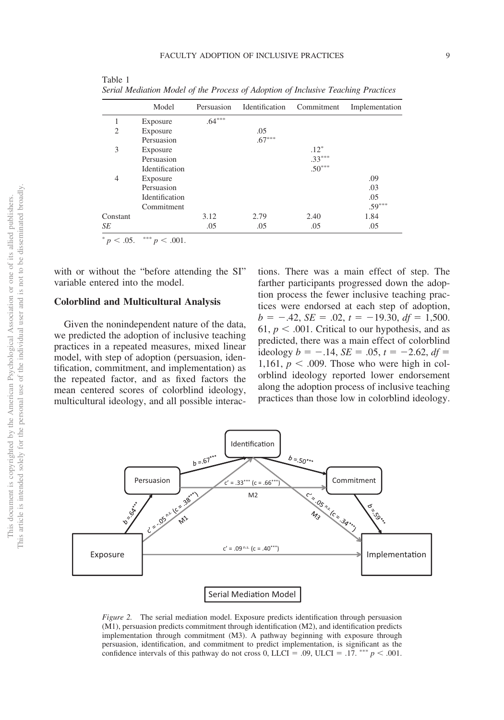|                | Model          | Persuasion | Identification | Commitment | Implementation |
|----------------|----------------|------------|----------------|------------|----------------|
|                | Exposure       | $.64***$   |                |            |                |
| $\overline{c}$ | Exposure       |            | .05            |            |                |
|                | Persuasion     |            | $.67***$       |            |                |
| 3              | Exposure       |            |                | $.12*$     |                |
|                | Persuasion     |            |                | $.33***$   |                |
|                | Identification |            |                | $.50***$   |                |
| $\overline{4}$ | Exposure       |            |                |            | .09            |
|                | Persuasion     |            |                |            | .03            |
|                | Identification |            |                |            | .05            |
|                | Commitment     |            |                |            | $.59***$       |
| Constant       |                | 3.12       | 2.79           | 2.40       | 1.84           |
| SE             |                | .05        | .05            | .05        | .05            |
|                |                |            |                |            |                |

Table 1 *Serial Mediation Model of the Process of Adoption of Inclusive Teaching Practices*

 $< .05.$  \*\*\*  $p < .001.$ 

with or without the "before attending the SI" variable entered into the model.

# **Colorblind and Multicultural Analysis**

Given the nonindependent nature of the data, we predicted the adoption of inclusive teaching practices in a repeated measures, mixed linear model, with step of adoption (persuasion, identification, commitment, and implementation) as the repeated factor, and as fixed factors the mean centered scores of colorblind ideology, multicultural ideology, and all possible interactions. There was a main effect of step. The farther participants progressed down the adoption process the fewer inclusive teaching practices were endorsed at each step of adoption,  $b = -.42$ ,  $SE = .02$ ,  $t = -19.30$ ,  $df = 1,500$ . 61,  $p < .001$ . Critical to our hypothesis, and as predicted, there was a main effect of colorblind ideology  $b = -.14$ ,  $SE = .05$ ,  $t = -2.62$ ,  $df =$ 1,161,  $p < .009$ . Those who were high in colorblind ideology reported lower endorsement along the adoption process of inclusive teaching practices than those low in colorblind ideology.



*Figure 2.* The serial mediation model. Exposure predicts identification through persuasion (M1), persuasion predicts commitment through identification (M2), and identification predicts implementation through commitment (M3). A pathway beginning with exposure through persuasion, identification, and commitment to predict implementation, is significant as the confidence intervals of this pathway do not cross 0, LLCI = .09, ULCI = .17. \*\*\*  $p < .001$ .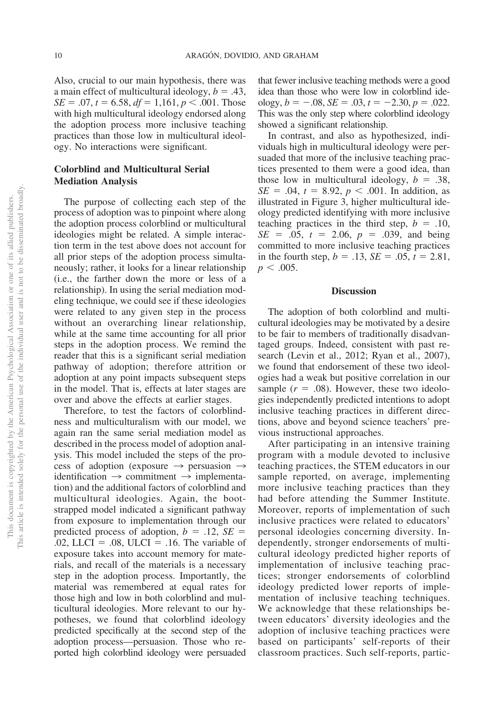Also, crucial to our main hypothesis, there was a main effect of multicultural ideology,  $b = .43$ ,  $SE = .07$ ,  $t = 6.58$ ,  $df = 1,161$ ,  $p < .001$ . Those with high multicultural ideology endorsed along the adoption process more inclusive teaching practices than those low in multicultural ideology. No interactions were significant.

# **Colorblind and Multicultural Serial Mediation Analysis**

The purpose of collecting each step of the process of adoption was to pinpoint where along the adoption process colorblind or multicultural ideologies might be related. A simple interaction term in the test above does not account for all prior steps of the adoption process simultaneously; rather, it looks for a linear relationship (i.e., the farther down the more or less of a relationship). In using the serial mediation modeling technique, we could see if these ideologies were related to any given step in the process without an overarching linear relationship, while at the same time accounting for all prior steps in the adoption process. We remind the reader that this is a significant serial mediation pathway of adoption; therefore attrition or adoption at any point impacts subsequent steps in the model. That is, effects at later stages are over and above the effects at earlier stages.

Therefore, to test the factors of colorblindness and multiculturalism with our model, we again ran the same serial mediation model as described in the process model of adoption analysis. This model included the steps of the process of adoption (exposure  $\rightarrow$  persuasion  $\rightarrow$ identification  $\rightarrow$  commitment  $\rightarrow$  implementation) and the additional factors of colorblind and multicultural ideologies. Again, the bootstrapped model indicated a significant pathway from exposure to implementation through our predicted process of adoption,  $b = .12$ ,  $SE =$ .02, LLCI = .08, ULCI = .16. The variable of exposure takes into account memory for materials, and recall of the materials is a necessary step in the adoption process. Importantly, the material was remembered at equal rates for those high and low in both colorblind and multicultural ideologies. More relevant to our hypotheses, we found that colorblind ideology predicted specifically at the second step of the adoption process—persuasion. Those who reported high colorblind ideology were persuaded

that fewer inclusive teaching methods were a good idea than those who were low in colorblind ideology,  $b = -.08$ ,  $SE = .03$ ,  $t = -2.30$ ,  $p = .022$ . This was the only step where colorblind ideology showed a significant relationship.

In contrast, and also as hypothesized, individuals high in multicultural ideology were persuaded that more of the inclusive teaching practices presented to them were a good idea, than those low in multicultural ideology,  $b = .38$ ,  $SE = .04$ ,  $t = 8.92$ ,  $p < .001$ . In addition, as illustrated in Figure 3, higher multicultural ideology predicted identifying with more inclusive teaching practices in the third step,  $b = .10$ ,  $SE = .05$ ,  $t = 2.06$ ,  $p = .039$ , and being committed to more inclusive teaching practices in the fourth step,  $b = .13$ ,  $SE = .05$ ,  $t = 2.81$ ,  $p < .005$ .

### **Discussion**

The adoption of both colorblind and multicultural ideologies may be motivated by a desire to be fair to members of traditionally disadvantaged groups. Indeed, consistent with past research (Levin et al., 2012; Ryan et al., 2007), we found that endorsement of these two ideologies had a weak but positive correlation in our sample  $(r = .08)$ . However, these two ideologies independently predicted intentions to adopt inclusive teaching practices in different directions, above and beyond science teachers' previous instructional approaches.

After participating in an intensive training program with a module devoted to inclusive teaching practices, the STEM educators in our sample reported, on average, implementing more inclusive teaching practices than they had before attending the Summer Institute. Moreover, reports of implementation of such inclusive practices were related to educators' personal ideologies concerning diversity. Independently, stronger endorsements of multicultural ideology predicted higher reports of implementation of inclusive teaching practices; stronger endorsements of colorblind ideology predicted lower reports of implementation of inclusive teaching techniques. We acknowledge that these relationships between educators' diversity ideologies and the adoption of inclusive teaching practices were based on participants' self-reports of their classroom practices. Such self-reports, partic-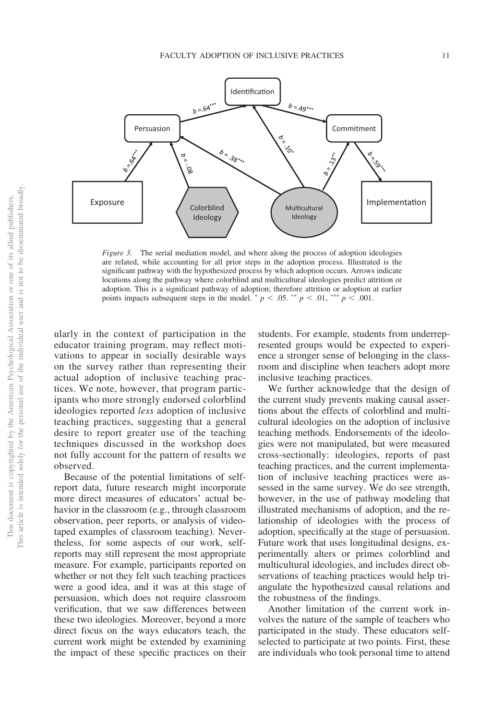

*Figure 3.* The serial mediation model, and where along the process of adoption ideologies are related, while accounting for all prior steps in the adoption process. Illustrated is the significant pathway with the hypothesized process by which adoption occurs. Arrows indicate locations along the pathway where colorblind and multicultural ideologies predict attrition or adoption. This is a significant pathway of adoption; therefore attrition or adoption at earlier points impacts subsequent steps in the model.  $p < .05$ .  $\binom{**}{p} < .01$ ,  $\binom{***}{p} < .001$ .

ularly in the context of participation in the educator training program, may reflect motivations to appear in socially desirable ways on the survey rather than representing their actual adoption of inclusive teaching practices. We note, however, that program participants who more strongly endorsed colorblind ideologies reported *less* adoption of inclusive teaching practices, suggesting that a general desire to report greater use of the teaching techniques discussed in the workshop does not fully account for the pattern of results we observed.

Because of the potential limitations of selfreport data, future research might incorporate more direct measures of educators' actual behavior in the classroom (e.g., through classroom observation, peer reports, or analysis of videotaped examples of classroom teaching). Nevertheless, for some aspects of our work, selfreports may still represent the most appropriate measure. For example, participants reported on whether or not they felt such teaching practices were a good idea, and it was at this stage of persuasion, which does not require classroom verification, that we saw differences between these two ideologies. Moreover, beyond a more direct focus on the ways educators teach, the current work might be extended by examining the impact of these specific practices on their

students. For example, students from underrepresented groups would be expected to experience a stronger sense of belonging in the classroom and discipline when teachers adopt more inclusive teaching practices.

We further acknowledge that the design of the current study prevents making causal assertions about the effects of colorblind and multicultural ideologies on the adoption of inclusive teaching methods. Endorsements of the ideologies were not manipulated, but were measured cross-sectionally: ideologies, reports of past teaching practices, and the current implementation of inclusive teaching practices were assessed in the same survey. We do see strength, however, in the use of pathway modeling that illustrated mechanisms of adoption, and the relationship of ideologies with the process of adoption, specifically at the stage of persuasion. Future work that uses longitudinal designs, experimentally alters or primes colorblind and multicultural ideologies, and includes direct observations of teaching practices would help triangulate the hypothesized causal relations and the robustness of the findings.

Another limitation of the current work involves the nature of the sample of teachers who participated in the study. These educators selfselected to participate at two points. First, these are individuals who took personal time to attend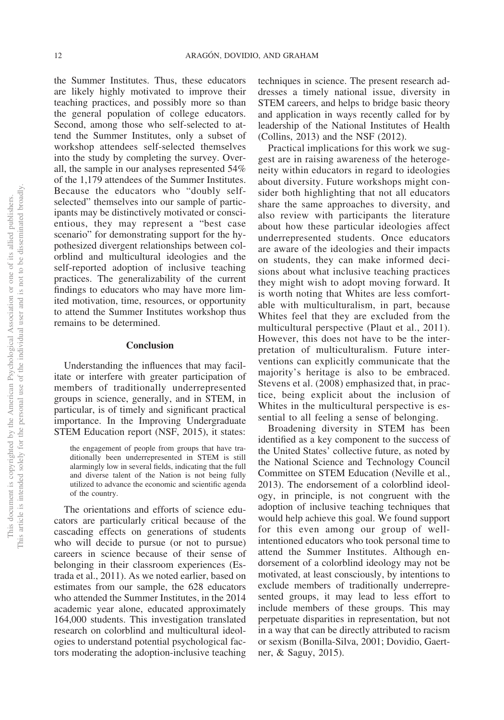the Summer Institutes. Thus, these educators are likely highly motivated to improve their teaching practices, and possibly more so than the general population of college educators. Second, among those who self-selected to attend the Summer Institutes, only a subset of workshop attendees self-selected themselves into the study by completing the survey. Overall, the sample in our analyses represented 54% of the 1,179 attendees of the Summer Institutes. Because the educators who "doubly selfselected" themselves into our sample of participants may be distinctively motivated or conscientious, they may represent a "best case scenario" for demonstrating support for the hypothesized divergent relationships between colorblind and multicultural ideologies and the self-reported adoption of inclusive teaching practices. The generalizability of the current findings to educators who may have more limited motivation, time, resources, or opportunity to attend the Summer Institutes workshop thus remains to be determined.

#### **Conclusion**

Understanding the influences that may facilitate or interfere with greater participation of members of traditionally underrepresented groups in science, generally, and in STEM, in particular, is of timely and significant practical importance. In the Improving Undergraduate STEM Education report (NSF, 2015), it states:

the engagement of people from groups that have traditionally been underrepresented in STEM is still alarmingly low in several fields, indicating that the full and diverse talent of the Nation is not being fully utilized to advance the economic and scientific agenda of the country.

The orientations and efforts of science educators are particularly critical because of the cascading effects on generations of students who will decide to pursue (or not to pursue) careers in science because of their sense of belonging in their classroom experiences (Estrada et al., 2011). As we noted earlier, based on estimates from our sample, the 628 educators who attended the Summer Institutes, in the 2014 academic year alone, educated approximately 164,000 students. This investigation translated research on colorblind and multicultural ideologies to understand potential psychological factors moderating the adoption-inclusive teaching techniques in science. The present research addresses a timely national issue, diversity in STEM careers, and helps to bridge basic theory and application in ways recently called for by leadership of the National Institutes of Health (Collins, 2013) and the NSF (2012).

Practical implications for this work we suggest are in raising awareness of the heterogeneity within educators in regard to ideologies about diversity. Future workshops might consider both highlighting that not all educators share the same approaches to diversity, and also review with participants the literature about how these particular ideologies affect underrepresented students. Once educators are aware of the ideologies and their impacts on students, they can make informed decisions about what inclusive teaching practices they might wish to adopt moving forward. It is worth noting that Whites are less comfortable with multiculturalism, in part, because Whites feel that they are excluded from the multicultural perspective (Plaut et al., 2011). However, this does not have to be the interpretation of multiculturalism. Future interventions can explicitly communicate that the majority's heritage is also to be embraced. Stevens et al. (2008) emphasized that, in practice, being explicit about the inclusion of Whites in the multicultural perspective is essential to all feeling a sense of belonging.

Broadening diversity in STEM has been identified as a key component to the success of the United States' collective future, as noted by the National Science and Technology Council Committee on STEM Education (Neville et al., 2013). The endorsement of a colorblind ideology, in principle, is not congruent with the adoption of inclusive teaching techniques that would help achieve this goal. We found support for this even among our group of wellintentioned educators who took personal time to attend the Summer Institutes. Although endorsement of a colorblind ideology may not be motivated, at least consciously, by intentions to exclude members of traditionally underrepresented groups, it may lead to less effort to include members of these groups. This may perpetuate disparities in representation, but not in a way that can be directly attributed to racism or sexism (Bonilla-Silva, 2001; Dovidio, Gaertner, & Saguy, 2015).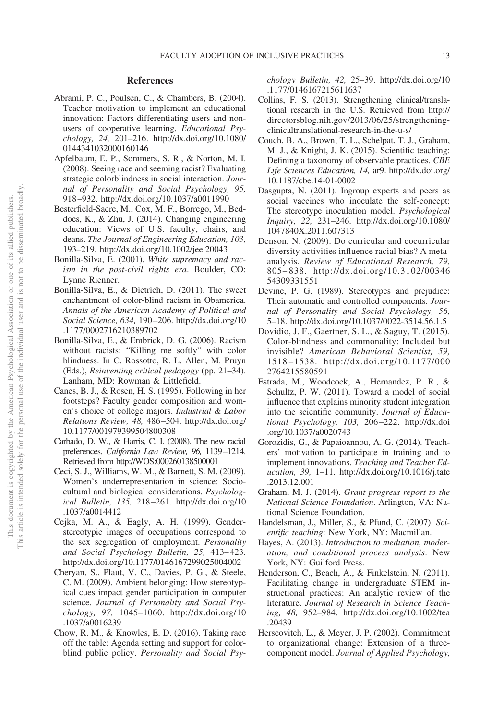#### **References**

- Abrami, P. C., Poulsen, C., & Chambers, B. (2004). Teacher motivation to implement an educational innovation: Factors differentiating users and nonusers of cooperative learning. *Educational Psychology, 24,* 201–216. http://dx.doi.org/10.1080/ 0144341032000160146
- Apfelbaum, E. P., Sommers, S. R., & Norton, M. I. (2008). Seeing race and seeming racist? Evaluating strategic colorblindness in social interaction. *Journal of Personality and Social Psychology, 95,* 918 –932. http://dx.doi.org/10.1037/a0011990
- Besterfield-Sacre, M., Cox, M. F., Borrego, M., Beddoes, K., & Zhu, J. (2014). Changing engineering education: Views of U.S. faculty, chairs, and deans. *The Journal of Engineering Education, 103,* 193–219. http://dx.doi.org/10.1002/jee.20043
- Bonilla-Silva, E. (2001). *White supremacy and racism in the post-civil rights era*. Boulder, CO: Lynne Rienner.
- Bonilla-Silva, E., & Dietrich, D. (2011). The sweet enchantment of color-blind racism in Obamerica. *Annals of the American Academy of Political and Social Science, 634,* 190 –206. http://dx.doi.org/10 .1177/0002716210389702
- Bonilla-Silva, E., & Embrick, D. G. (2006). Racism without racists: "Killing me softly" with color blindness. In C. Rossotto, R. L. Allen, M. Pruyn (Eds.), *Reinventing critical pedagogy* (pp. 21–34). Lanham, MD: Rowman & Littlefield.
- Canes, B. J., & Rosen, H. S. (1995). Following in her footsteps? Faculty gender composition and women's choice of college majors. *Industrial & Labor Relations Review, 48,* 486 –504. http://dx.doi.org/ 10.1177/001979399504800308
- Carbado, D. W., & Harris, C. I. (2008). The new racial preferences. *California Law Review, 96,* 1139–1214. Retrieved from http://WOS:000260138500001
- Ceci, S. J., Williams, W. M., & Barnett, S. M. (2009). Women's underrepresentation in science: Sociocultural and biological considerations. *Psychological Bulletin, 135,* 218 –261. http://dx.doi.org/10 .1037/a0014412
- Cejka, M. A., & Eagly, A. H. (1999). Genderstereotypic images of occupations correspond to the sex segregation of employment. *Personality and Social Psychology Bulletin, 25,* 413– 423. http://dx.doi.org/10.1177/0146167299025004002
- Cheryan, S., Plaut, V. C., Davies, P. G., & Steele, C. M. (2009). Ambient belonging: How stereotypical cues impact gender participation in computer science. *Journal of Personality and Social Psychology, 97,* 1045–1060. http://dx.doi.org/10 .1037/a0016239
- Chow, R. M., & Knowles, E. D. (2016). Taking race off the table: Agenda setting and support for colorblind public policy. *Personality and Social Psy-*

*chology Bulletin, 42,* 25–39. http://dx.doi.org/10 .1177/0146167215611637

- Collins, F. S. (2013). Strengthening clinical/translational research in the U.S. Retrieved from http:// directorsblog.nih.gov/2013/06/25/strengtheningclinicaltranslational-research-in-the-u-s/
- Couch, B. A., Brown, T. L., Schelpat, T. J., Graham, M. J., & Knight, J. K. (2015). Scientific teaching: Defining a taxonomy of observable practices. *CBE Life Sciences Education, 14,* ar9. http://dx.doi.org/ 10.1187/cbe.14-01-0002
- Dasgupta, N. (2011). Ingroup experts and peers as social vaccines who inoculate the self-concept: The stereotype inoculation model. *Psychological Inquiry, 22,* 231–246. http://dx.doi.org/10.1080/ 1047840X.2011.607313
- Denson, N. (2009). Do curricular and cocurricular diversity activities influence racial bias? A metaanalysis. *Review of Educational Research, 79,* 805– 838. http://dx.doi.org/10.3102/00346 54309331551
- Devine, P. G. (1989). Stereotypes and prejudice: Their automatic and controlled components. *Journal of Personality and Social Psychology, 56,* 5–18. http://dx.doi.org/10.1037/0022-3514.56.1.5
- Dovidio, J. F., Gaertner, S. L., & Saguy, T. (2015). Color-blindness and commonality: Included but invisible? *American Behavioral Scientist, 59,* 1518 –1538. http://dx.doi.org/10.1177/000 2764215580591
- Estrada, M., Woodcock, A., Hernandez, P. R., & Schultz, P. W. (2011). Toward a model of social influence that explains minority student integration into the scientific community. *Journal of Educational Psychology, 103,* 206 –222. http://dx.doi .org/10.1037/a0020743
- Gorozidis, G., & Papaioannou, A. G. (2014). Teachers' motivation to participate in training and to implement innovations. *Teaching and Teacher Education, 39,* 1–11. http://dx.doi.org/10.1016/j.tate .2013.12.001
- Graham, M. J. (2014). *Grant progress report to the National Science Foundation*. Arlington, VA: National Science Foundation.
- Handelsman, J., Miller, S., & Pfund, C. (2007). *Scientific teaching*: New York, NY: Macmillan.
- Hayes, A. (2013). *Introduction to mediation, moderation, and conditional process analysis*. New York, NY: Guilford Press.
- Henderson, C., Beach, A., & Finkelstein, N. (2011). Facilitating change in undergraduate STEM instructional practices: An analytic review of the literature. *Journal of Research in Science Teaching, 48,* 952–984. http://dx.doi.org/10.1002/tea .20439
- Herscovitch, L., & Meyer, J. P. (2002). Commitment to organizational change: Extension of a threecomponent model. *Journal of Applied Psychology,*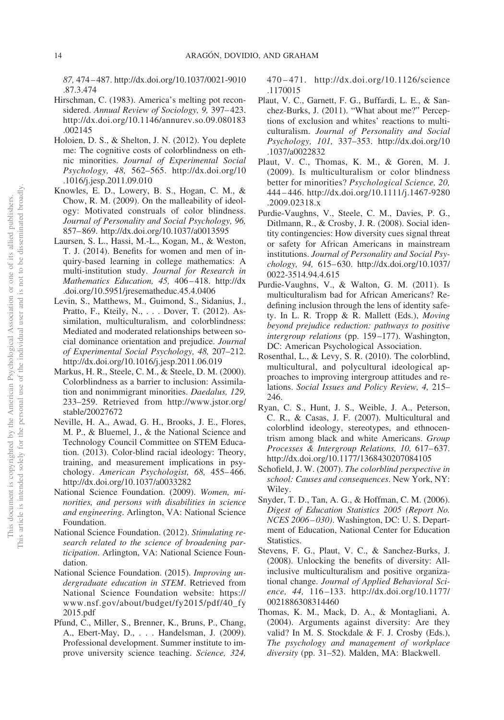*87,* 474 – 487. http://dx.doi.org/10.1037/0021-9010 .87.3.474

- Hirschman, C. (1983). America's melting pot reconsidered. *Annual Review of Sociology, 9,* 397– 423. http://dx.doi.org/10.1146/annurev.so.09.080183 .002145
- Holoien, D. S., & Shelton, J. N. (2012). You deplete me: The cognitive costs of colorblindness on ethnic minorities. *Journal of Experimental Social Psychology, 48,* 562–565. http://dx.doi.org/10 .1016/j.jesp.2011.09.010
- Knowles, E. D., Lowery, B. S., Hogan, C. M., & Chow, R. M. (2009). On the malleability of ideology: Motivated construals of color blindness. *Journal of Personality and Social Psychology, 96,* 857– 869. http://dx.doi.org/10.1037/a0013595
- Laursen, S. L., Hassi, M.-L., Kogan, M., & Weston, T. J. (2014). Benefits for women and men of inquiry-based learning in college mathematics: A multi-institution study. *Journal for Research in Mathematics Education, 45,* 406 – 418. http://dx .doi.org/10.5951/jresematheduc.45.4.0406
- Levin, S., Matthews, M., Guimond, S., Sidanius, J., Pratto, F., Kteily, N.,... Dover, T. (2012). Assimilation, multiculturalism, and colorblindness: Mediated and moderated relationships between social dominance orientation and prejudice. *Journal of Experimental Social Psychology, 48,* 207–212. http://dx.doi.org/10.1016/j.jesp.2011.06.019
- Markus, H. R., Steele, C. M., & Steele, D. M. (2000). Colorblindness as a barrier to inclusion: Assimilation and nonimmigrant minorities. *Daedalus, 129,* 233–259. Retrieved from http://www.jstor.org/ stable/20027672
- Neville, H. A., Awad, G. H., Brooks, J. E., Flores, M. P., & Bluemel, J., & the National Science and Technology Council Committee on STEM Education. (2013). Color-blind racial ideology: Theory, training, and measurement implications in psychology. *American Psychologist, 68,* 455– 466. http://dx.doi.org/10.1037/a0033282
- National Science Foundation. (2009). *Women, minorities, and persons with disabilities in science and engineering*. Arlington, VA: National Science Foundation.
- National Science Foundation. (2012). *Stimulating research related to the science of broadening participation*. Arlington, VA: National Science Foundation.
- National Science Foundation. (2015). *Improving undergraduate education in STEM*. Retrieved from National Science Foundation website: https:// www.nsf.gov/about/budget/fy2015/pdf/40\_fy 2015.pdf
- Pfund, C., Miller, S., Brenner, K., Bruns, P., Chang, A., Ebert-May, D.,... Handelsman, J. (2009). Professional development. Summer institute to improve university science teaching. *Science, 324,*

470 – 471. http://dx.doi.org/10.1126/science .1170015

- Plaut, V. C., Garnett, F. G., Buffardi, L. E., & Sanchez-Burks, J. (2011). "What about me?" Perceptions of exclusion and whites' reactions to multiculturalism. *Journal of Personality and Social Psychology, 101,* 337–353. http://dx.doi.org/10 .1037/a0022832
- Plaut, V. C., Thomas, K. M., & Goren, M. J. (2009). Is multiculturalism or color blindness better for minorities? *Psychological Science, 20,* 444 – 446. http://dx.doi.org/10.1111/j.1467-9280 .2009.02318.x
- Purdie-Vaughns, V., Steele, C. M., Davies, P. G., Ditlmann, R., & Crosby, J. R. (2008). Social identity contingencies: How diversity cues signal threat or safety for African Americans in mainstream institutions. *Journal of Personality and Social Psychology, 94,* 615– 630. http://dx.doi.org/10.1037/ 0022-3514.94.4.615
- Purdie-Vaughns, V., & Walton, G. M. (2011). Is multiculturalism bad for African Americans? Redefining inclusion through the lens of identity safety. In L. R. Tropp & R. Mallett (Eds.), *Moving beyond prejudice reduction: pathways to positive intergroup relations* (pp. 159 –177). Washington, DC: American Psychological Association.
- Rosenthal, L., & Levy, S. R. (2010). The colorblind, multicultural, and polycultural ideological approaches to improving intergroup attitudes and relations. *Social Issues and Policy Review, 4,* 215– 246.
- Ryan, C. S., Hunt, J. S., Weible, J. A., Peterson, C. R., & Casas, J. F. (2007). Multicultural and colorblind ideology, stereotypes, and ethnocentrism among black and white Americans. *Group* Processes & Intergroup Relations, 10, 617-637. http://dx.doi.org/10.1177/1368430207084105
- Schofield, J. W. (2007). *The colorblind perspective in school: Causes and consequences*. New York, NY: Wiley.
- Snyder, T. D., Tan, A. G., & Hoffman, C. M. (2006). *Digest of Education Statistics 2005 (Report No. NCES 2006 – 030)*. Washington, DC: U. S. Department of Education, National Center for Education Statistics.
- Stevens, F. G., Plaut, V. C., & Sanchez-Burks, J. (2008). Unlocking the benefits of diversity: Allinclusive multiculturalism and positive organizational change. *Journal of Applied Behavioral Science, 44,* 116 –133. http://dx.doi.org/10.1177/ 0021886308314460
- Thomas, K. M., Mack, D. A., & Montagliani, A. (2004). Arguments against diversity: Are they valid? In M. S. Stockdale & F. J. Crosby (Eds.), *The psychology and management of workplace diversity* (pp. 31–52). Malden, MA: Blackwell.